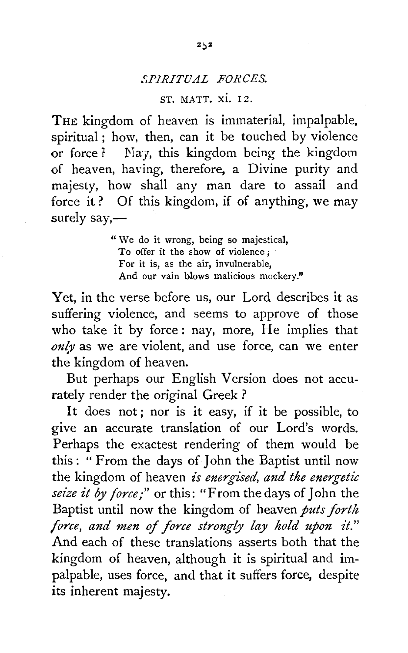## *SPIRITUAL FORCES.*

## ST. MATT. XI. I2.

THE kingdom of heaven is immaterial, impalpable, spiritual ; how, then, can it be touched by violence or force? Nav, this kingdom being the kingdom of heaven, having, therefore, a Divine purity and majesty, how shall any man dare to assail and force it ? Of this kingdom, if of anything, we may surely say,-

> "We do it wrong, being so majestical, To offer it the show of violence ; For it is, as the air, invulnerable, And our vain blows malicious mockery."

Yet, in the verse before us, our Lord describes it as suffering violence, and seems to approve of those who take it by force: nay, more, He implies that *only* as we are violent, and use force, can we enter the kingdom of heaven.

But perhaps our English Version does not accurately render the original Greek ?

It does not; nor is it easy, if it be possible, to give an accurate translation of our Lord's words. Perhaps the exactest rendering of them would be this : " From the days of John the Baptist until now the kingdom of heaven *is energised, and the energetic seize it by force;"* or this: "From the days of John the Baptist until now the kingdom of heaven *puts forth force, and men of force strongly lay hold upon it."*  And each of these translations asserts both that the kingdom of heaven, although it is spiritual and impalpable, uses force, and that it suffers force, despite its inherent majesty.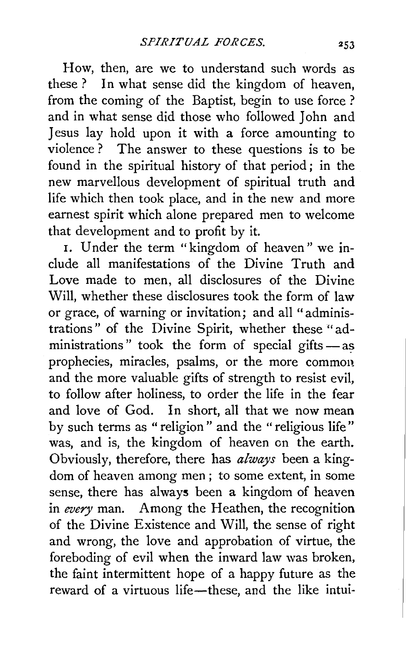How, then, are we to understand such words as these? In what sense did the kingdom of heaven, from the coming of the Baptist, begin to use force ? and in what sense did those who followed John and Jesus lay hold upon it with a force amounting to violence? The answer to these questions is to be found in the spiritual history of that period ; in the new marvellous development of spiritual truth and life which then took place, and in the new and more earnest spirit which alone prepared men to welcome that development and to profit by it.

I. Under the term "kingdom of heaven" we include all manifestations of the Divine Truth and Love made to men, all disclosures of the Divine Will, whether these disclosures took the form of law or grace, of warning or invitation; and all "administrations" of the Divine Spirit, whether these "administrations" took the form of special gifts $-\text{as}$ prophecies, miracles, psalms, or the more common. and the more valuable gifts of strength to resist evil, to follow after holiness, to order the life in the fear and love of God. In short, all that we now mean by such terms as " religion" and the " religious life" was, and is, the kingdom of heaven on the earth. Obviously, therefore, there has *always* been a kingdom of heaven among men ; to some extent, in some sense, there has always been a kingdom of heaven in *every* man. Among the Heathen, the recognition of the Divine Existence and Will, the sense of right and wrong, the love and approbation of virtue, the foreboding of evil when the inward law was broken, the faint intermittent hope of a happy future as the reward of a virtuous life-these, and the like intui-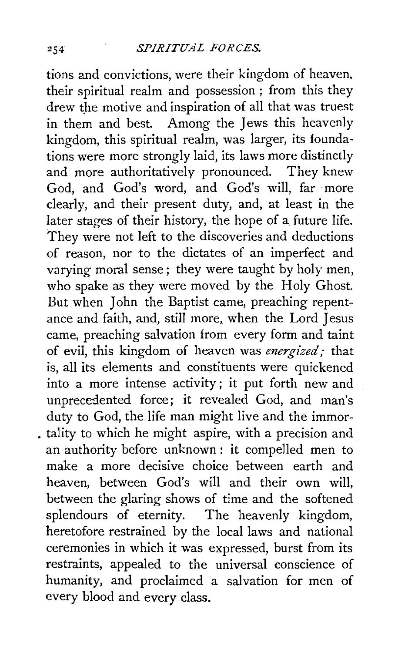## 254 *SPIRITUAL FORCES.*

tions and convictions, were their kingdom of heaven, their spiritual realm and possession; from this they drew the motive and inspiration of all that was truest in them and best. Among the Jews this heavenly kingdom, this spiritual realm, was larger, its foundations were more strongly laid, its laws more distinctly and more authoritatively pronounced. They knew God, and God's word, and God's will, far ·more clearly, and their present duty, and, at least in the later stages of their history, the hope of a future life. They were not left to the discoveries and deductions of reason, nor to the dictates of an imperfect and varying moral sense; they were taught by holy men, who spake as they were moved by the Holy Ghost. But when John the Baptist came, preaching repentance and faith, and, still more, when the Lord Jesus came, preaching salvation from every form and taint of evil, this kingdom of heaven was *energized;* that is, all its elements and constituents were quickened into a more intense activity; it put forth new and unprecedented force; it revealed God, and man's duty to God, the life man might live and the immor- . tality to which he might aspire, with a precision and an authority before unknown: it compelled men to make a more decisive choice between earth and heaven, between God's will and their own will, between the glaring shows of time and the softened splendours of eternity. The heavenly kingdom, heretofore restrained by the local laws and national ceremonies in which it was expressed, burst from its restraints, appealed to the universal conscience of humanity, and proclaimed a salvation for men of every blood and every class.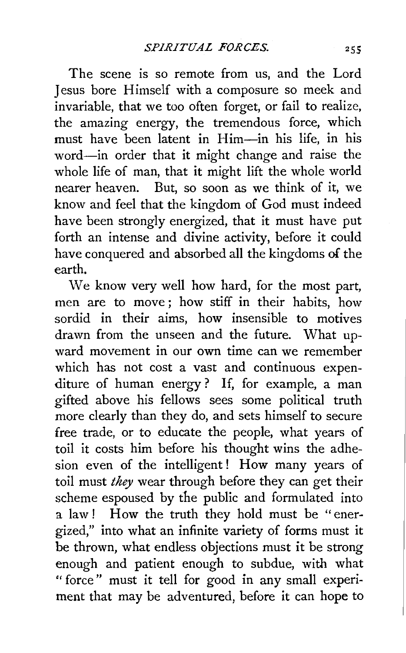The scene is so remote from us, and the Lord Jesus bore Himself with a composure so meek and invariable, that we too often forget, or fail to realize, the amazing energy, the tremendous force, which must have been latent in Him-in his life, in his word-in order that it might change and raise the whole life of man, that it might lift the whole world nearer heaven. But, so soon as we think of it, we know and feel that the kingdom of God must indeed have been strongly energized, that it must have put forth an intense and divine activity, before it could have conquered and absorbed all the kingdoms of the earth.

We know very well how hard, for the most part, men are to move ; how stiff in their habits, how sordid in their aims, how insensible to motives drawn from the unseen and the future. What upward movement in our own time can we remember which has not cost a vast and continuous expenditure of human energy ? If, for example, a man gifted above his fellows sees some political truth more clearly than they do, and sets himself to secure free trade, or to educate the people, what years of toil it costs him before his thought wins the adhesion even of the intelligent! How many years of toil must *they* wear through before they can get their scheme espoused by the public and formulated into a law! How the truth they hold must be "energized," into what an infinite variety of forms must it be thrown, what endless objections must it be strong enough and patient enough to subdue, with what " force " must it tell for good in any small experiment that may be adventured, before it can hope to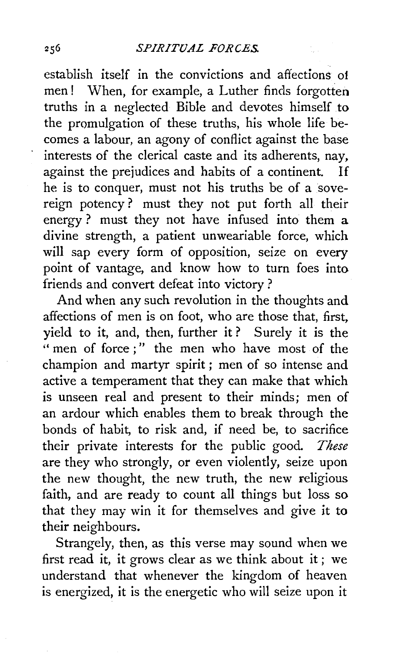establish itself in the convictions and affections of men ! When, for example, a Luther finds forgotten truths in a neglected Bible and devotes himself to the promulgation of these truths, his whole life becomes a labour, an agony of conflict against the base interests of the clerical caste and its adherents, nay, against the prejudices and habits of a continent. If he is to conquer, must not his truths be of a sovereign potency ? must they not put forth all their energy ? must they not have infused into them a divine strength, a patient unweariable force, which will sap every form of opposition, seize on every point of vantage, and know how to turn foes into friends and convert defeat into victory ?

And when any such revolution in the thoughts and affections of men is on foot, who are those that, first, yield to it, and, then, further it ? Surely it is the "men of force;" the men who have most of the champion and martyr spirit; men of so intense and active a temperament that they can make that which is unseen real and present to their minds; men of an ardour which enables them to break through the bonds of habit, to risk and, if need be, to sacrifice their private interests for the public good. *These*  are they who strongly, or even violently, seize upon the new thought, the new truth, the new religious faith, and are ready to count all things but loss so that they may win it for themselves and give it to their neighbours.

Strangely, then, as this verse may sound when we first read it, it grows clear as we think about it; we understand that whenever the kingdom of heaven is energized, it is the energetic who will seize upon it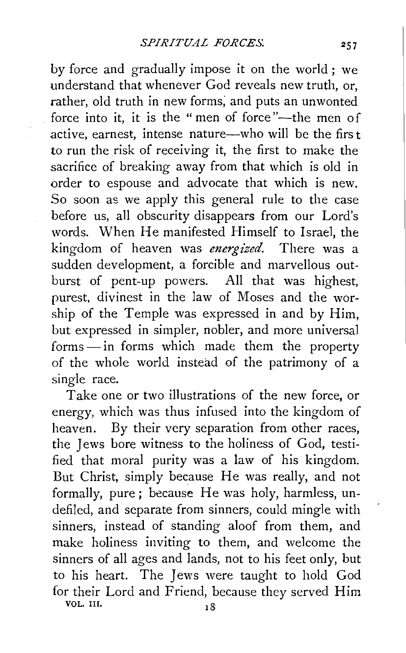by force and gradually impose it on the world; we understand that whenever God reveals new truth, or, rather, old truth in new forms; and puts an unwonted force into it, it is the "men of force"--the men of active, earnest, intense nature-who will be the first to run the risk of receiving it, the first to make the sacrifice of breaking away from that which is old in order to espouse and advocate that which is new. So soon as we apply this general rule to the case before us, all obscurity disappears from our Lord's words. When He manifested Himself to Israel, the kingdom of heaven was *energized.* There was a sudden development, a forcible and marvellous outburst of pent-up powers. All that was highest, purest, divinest in the law of Moses and the worship of the Temple was expressed in and by Him, but expressed in simpler, nobler, and more universal forms - in forms which made them the property of the whole world instead of the patrimony of a single race.

Take one or two illustrations of the new force, or energy, which was thus infused into the kingdom of heaven. By their very separation from other races, the Jews bore witness to the holiness of God, testified that moral purity was a law of his kingdom. But Christ, simply because He was really, and not formally, pure; because He was holy, harmless, undefiled, and separate from sinners, could mingle with sinners, instead of standing aloof from them, and make holiness inviting to them, and welcome the sinners of all ages and lands, not to his feet only, but to his heart. The Jews were taught to hold God for their Lord and Friend, because they served Him VOL. III.  $18$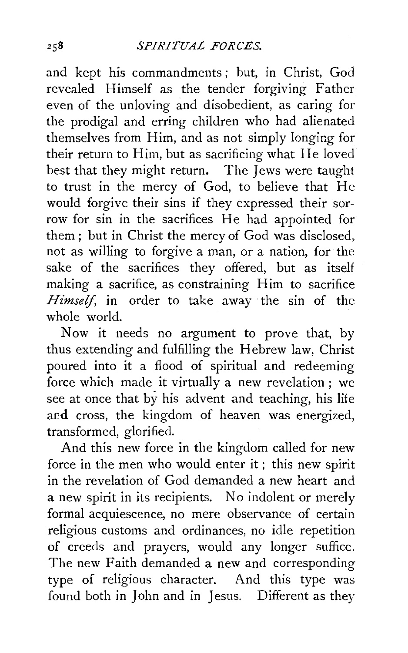and kept his commandments ; but, in Christ, God revealed Himself as the tender forgiving Father even of the unloving and disobedient, as caring for the prodigal and erring children who had alienated themselves from Him, and as not simply longing for their return to Him, but as sacrificing what He loved best that they might return. The Jews were taught to trust in the mercy of God, to believe that He would forgive their sins if they expressed their sorrow for sin in the sacrifices He had appointed for them ; but in Christ the mercy of God was disclosed, not as willing to forgive a man, or a nation, for the sake of the sacrifices they offered, but as itself making a sacrifice, as constraining Him to sacrifice *Himself,* in order to take away the sin of the whole world.

Now it needs no argument to prove that, by thus extending and fulfilling the Hebrew law, Christ poured into it a flood of spiritual and redeeming force which made it virtually a new revelation ; we see at once that by his advent and teaching, his life ard cross, the kingdom of heaven was energized, transformed, glorified.

And this new force in the kingdom called for new force in the men who would enter it ; this new spirit in the revelation of God demanded a new heart and **a** new spirit in its recipients. No indolent or merely formal acquiescence, no mere observance of certain religious customs and ordinances, no idle repetition of creeds and prayers, would any longer suffice. The new Faith demanded a new and corresponding type of religious character. And this type was found both in John and in Jesus. Different as they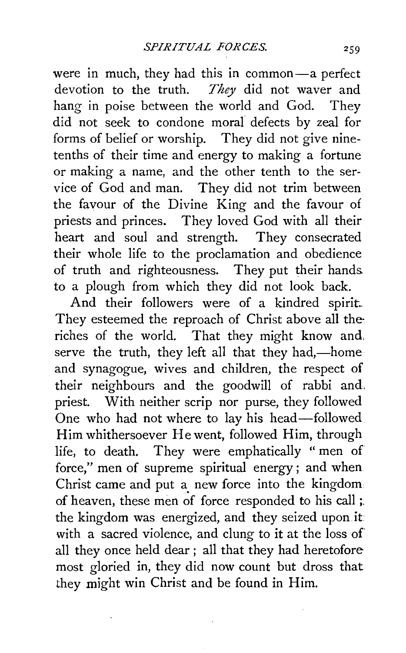were in much, they had this in common-a perfect devotion to the truth. *They* did not waver and hang in poise between the world and God. They did not seek to condone moral defects by zeal for forms of belief or worship. They did not give ninetenths of their time and energy to making a fortune or making a name, and the other tenth to the service of God and man. They did not trim between the favour of the Divine King and the favour of priests and princes. They loved God with all their heart and soul and strength. They consecrated their whole life to the proclamation and obedience of truth and righteousness. They put their hands. to a plough from which they did not look back.

And their followers were of a kindred spirit. They esteemed the reproach of Christ above all the riches of the world. That they might know and, serve the truth, they left all that they had,-home and synagogue, wives and children, the respect of their neighbours and the goodwill of rabbi and, priest. With neither scrip nor purse, they followed One who had not where to lay his head—followed Him whithersoever He went, followed Him, through life, to death. They were emphatically " men of force," men of supreme spiritual energy ; and when Christ came and put a new force into the kingdom of heaven, these men of force responded to his call ; the kingdom was energized, and they seized upon it with a sacred violence, and clung to it at the loss of all they once held dear ; all that they had heretofore most gloried in, they did now count but dross that they might win Christ and be found in Him.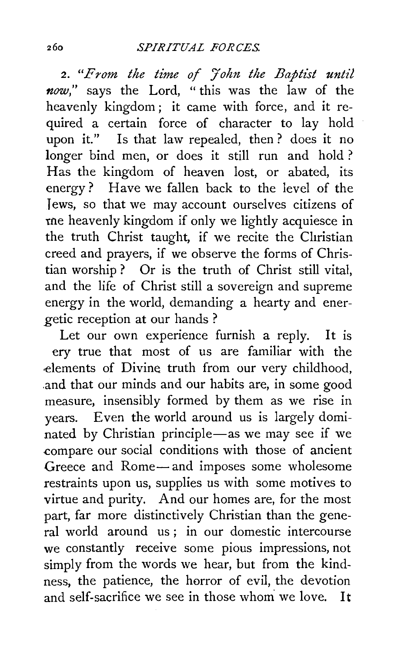*2. "From the time of John the Baptist until now,"* says the Lord, "this was the law of the heavenly kingdom; it came with force, and it required a certain force of character to lay hold upon it." Is that law repealed, then? does it no longer bind men, or does it still run and hold ? Has the kingdom of heaven lost, or abated, its energy? Have we fallen back to the level of the Jews, so that we may account ourselves citizens of rne heavenly kingdom if only we lightly acquiesce in the truth Christ taught, if we recite the Christian creed and prayers, if we observe the forms of Christian worship ? Or is the truth of Christ still vital, and the life of Christ still a sovereign and supreme energy in the world, demanding a hearty and energetic reception at our hands ?

Let our own experience furnish a reply. It is ery true that most of us are familiar with the .elements of Divine truth from our very childhood, .and that our minds and our habits are, in some good measure, insensibly formed by them as we rise in years. Even the world around us is largely dominated by Christian principle-as we may see if we compare our social conditions with those of ancient Greece and Rome-and imposes some wholesome restraints upon us, supplies us with some motives to virtue and purity. And our homes are, for the most part, far more distinctively Christian than the general world around us ; in our domestic intercourse we constantly receive some pious impressions, not simply from the words we hear, but from the kindness, the patience, the horror of evil, the devotion and self-sacrifice we see in those whom we love. It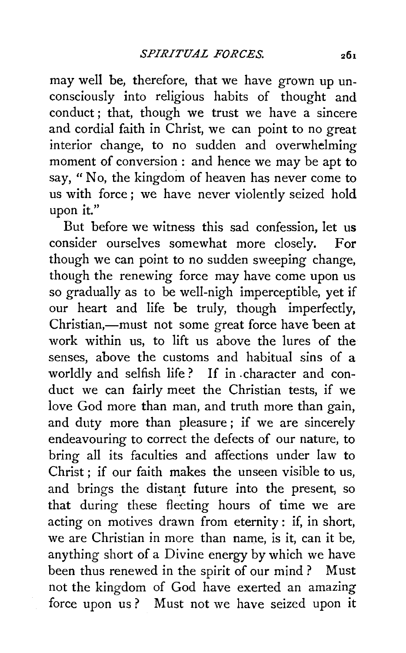may well be, therefore, that we have grown up unconsciously into religious habits of thought and conduct ; that, though we trust we have a sincere and cordial faith in Christ, we can point to no great interior change, to no sudden and overwhelming moment of conversion : and hence we may be apt to say, " No, the kingdom of heaven has never come to us with force ; we have never violently seized hold upon it."

But before we witness this sad confession, let us consider ourselves somewhat more closely. For though we can point to no sudden sweeping change, though the renewing force may have come upon us so gradually as to be well-nigh imperceptible, yet if our heart and life be truly, though imperfectly, Christian,-must not some great force have been at work within us, to lift us above the lures of the senses, above the customs and habitual sins of a worldly and selfish life? If in .character and conduct we can fairly meet the Christian tests, if we love God more than man, and truth more than gain, and duty more than pleasure ; if we are sincerely endeavouring to correct the defects of our nature, to bring all its faculties and affections under law to Christ; if our faith makes the unseen visible to us, and brings the distant future into the present, so that during these fleeting hours of time we are acting on motives drawn from eternity: if, in short, we are Christian in more than name, is it, can it be, anything short of a Divine energy by which we have been thus renewed in the spirit of our mind ? Must not the kingdom of God have exerted an amazing force upon us? Must not we have seized upon it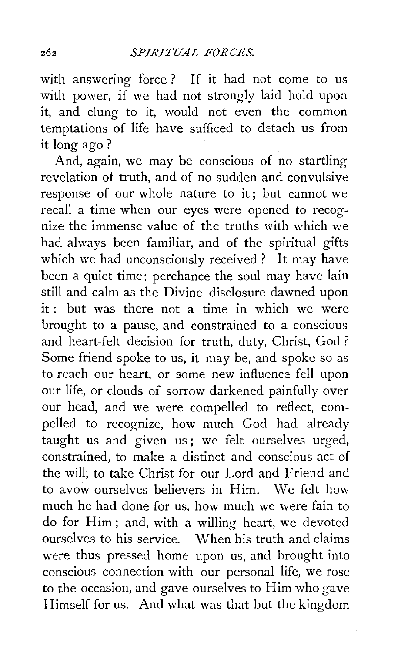with answering force ? If it had not come to us with power, if we had not strongly laid hold upon it, and clung to it, would not even the common temptations of life have sufficed to detach us from it long ago?

And, again, we may be conscious of no startling revelation of truth, and of no sudden and convulsive response of our whole nature to it; but cannot we recall a time when our eyes were opened to recognize the immense value of the truths with which we had always been familiar, and of the spiritual gifts which we had unconsciously received? It may have been a quiet time; perchance the soul may have lain still and calm as the Divine disclosure dawned upon it : but was there not a time in which we were brought to a pause, and constrained to a conscious and heart-felt decision for truth, duty, Christ, God ? Some friend spoke to us, it may be, and spoke so as to reach our heart, or some new influence fell upon our life, or clouds of sorrow darkened painfully over our head, and we were compelled to reflect, compelled to recognize, how much God had already taught us and given us; we felt ourselves urged, constrained, to make a distinct and conscious act of the will, to take Christ for our Lord and Friend and to avow ourselves believers in Him. We felt how much he had done for us, how much we were fain to do for Him; and, with a willing heart, we devoted ourselves to his service. When his truth and claims were thus pressed home upon us, and brought into conscious connection with our personal life, we rose to the occasion, and gave ourselves to Him who gave Himself for us. And what was that but the kingdom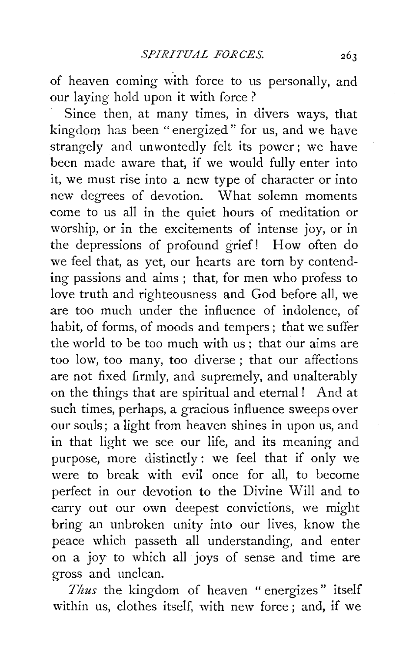of heaven coming with force to us personally, and our laying hold upon it with force ?

Since then, at many times, in divers ways, that kingdom has been "energized" for us, and we have strangely and unwontedly felt its power; we have been made aware that, if we would fully enter into it, we must rise into a new type of character or into new degrees of devotion. What solemn moments come to us all in the quiet hours of meditation or worship, or in the excitements of intense joy, or in the depressions of profound grief! How often do we feel that, as yet, our hearts are torn by contending passions and aims ; that, for men who profess to love truth and righteousness and God before all, we are too much under the influence of indolence, of habit, of forms, of moods and tempers ; that we suffer the world to be too much with us ; that our aims are too low, too many, too diverse ; that our affections are not fixed firmly, and supremely, and unalterably on the things that are spiritual and eternal ! And at such times, perhaps, a gracious influence sweeps over our souls; a light from heaven shines in upon us, and in that light we see our life, and its meaning and purpose, more distinctly: we feel that if only we were to break with evil once for all, to become perfect in our devotion to the Divine Will and to carry out our own deepest convictions, we might bring an unbroken unity into our lives, know the peace which passeth all understanding, and enter on a joy to which all joys of sense and time are gross and unclean.

Thus the kingdom of heaven "energizes" itself within us, clothes itself, with new force ; and, if we